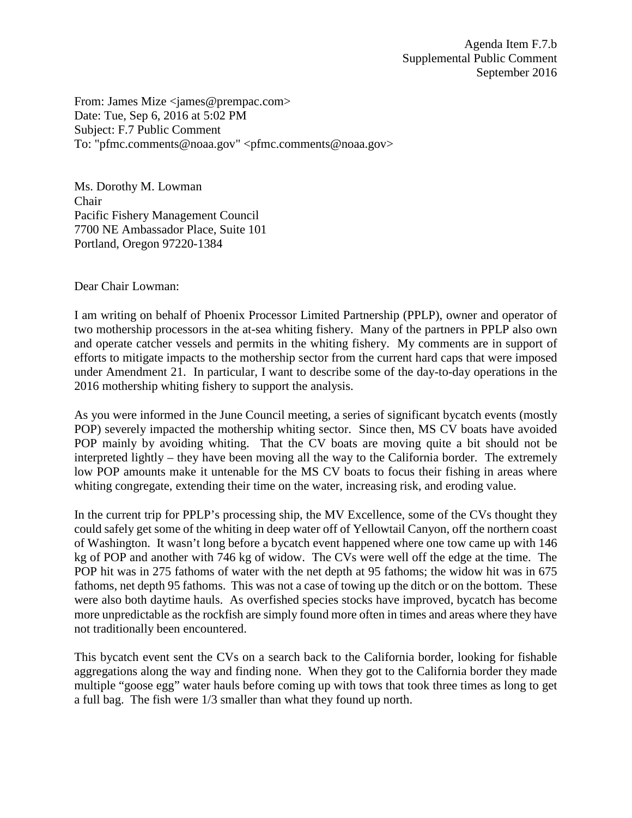From: James Mize <james@prempac.com> Date: Tue, Sep 6, 2016 at 5:02 PM Subject: F.7 Public Comment To: "pfmc.comments@noaa.gov" <pfmc.comments@noaa.gov>

Ms. Dorothy M. Lowman Chair Pacific Fishery Management Council 7700 NE Ambassador Place, Suite 101 Portland, Oregon 97220-1384

Dear Chair Lowman:

I am writing on behalf of Phoenix Processor Limited Partnership (PPLP), owner and operator of two mothership processors in the at-sea whiting fishery. Many of the partners in PPLP also own and operate catcher vessels and permits in the whiting fishery. My comments are in support of efforts to mitigate impacts to the mothership sector from the current hard caps that were imposed under Amendment 21. In particular, I want to describe some of the day-to-day operations in the 2016 mothership whiting fishery to support the analysis.

As you were informed in the June Council meeting, a series of significant bycatch events (mostly POP) severely impacted the mothership whiting sector. Since then, MS CV boats have avoided POP mainly by avoiding whiting. That the CV boats are moving quite a bit should not be interpreted lightly – they have been moving all the way to the California border. The extremely low POP amounts make it untenable for the MS CV boats to focus their fishing in areas where whiting congregate, extending their time on the water, increasing risk, and eroding value.

In the current trip for PPLP's processing ship, the MV Excellence, some of the CVs thought they could safely get some of the whiting in deep water off of Yellowtail Canyon, off the northern coast of Washington. It wasn't long before a bycatch event happened where one tow came up with 146 kg of POP and another with 746 kg of widow. The CVs were well off the edge at the time. The POP hit was in 275 fathoms of water with the net depth at 95 fathoms; the widow hit was in 675 fathoms, net depth 95 fathoms. This was not a case of towing up the ditch or on the bottom. These were also both daytime hauls. As overfished species stocks have improved, bycatch has become more unpredictable as the rockfish are simply found more often in times and areas where they have not traditionally been encountered.

This bycatch event sent the CVs on a search back to the California border, looking for fishable aggregations along the way and finding none. When they got to the California border they made multiple "goose egg" water hauls before coming up with tows that took three times as long to get a full bag. The fish were 1/3 smaller than what they found up north.